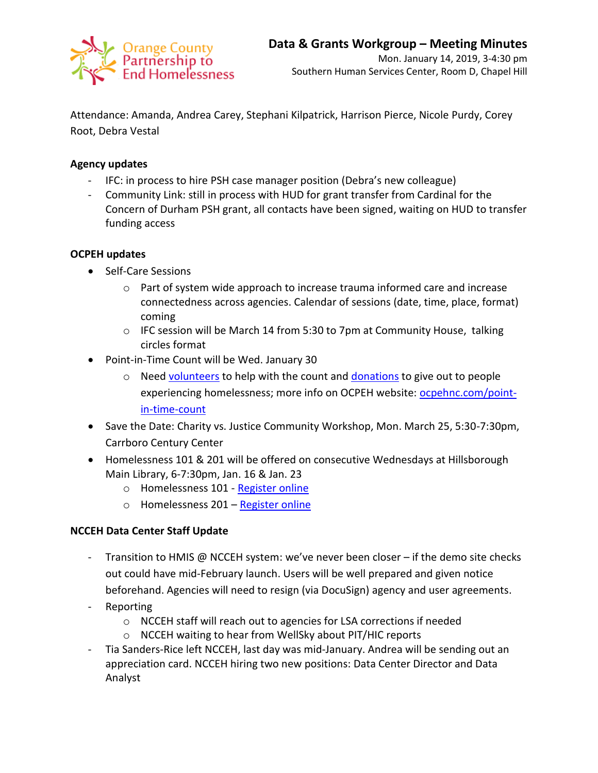

Attendance: Amanda, Andrea Carey, Stephani Kilpatrick, Harrison Pierce, Nicole Purdy, Corey Root, Debra Vestal

## **Agency updates**

- IFC: in process to hire PSH case manager position (Debra's new colleague)
- Community Link: still in process with HUD for grant transfer from Cardinal for the Concern of Durham PSH grant, all contacts have been signed, waiting on HUD to transfer funding access

### **OCPEH updates**

- Self-Care Sessions
	- $\circ$  Part of system wide approach to increase trauma informed care and increase connectedness across agencies. Calendar of sessions (date, time, place, format) coming
	- o IFC session will be March 14 from 5:30 to 7pm at Community House, talking circles format
- Point-in-Time Count will be Wed. January 30
	- $\circ$  Need [volunteers](https://www.signupgenius.com/go/70a0c48abaf2da7f58-20191) to help with the count and [donations](https://www.signupgenius.com/go/70a0c48abaf2da7f58-20191) to give out to people experiencing homelessness; more info on OCPEH website: [ocpehnc.com/point](https://www.ocpehnc.com/point-in-time-count)[in-time-count](https://www.ocpehnc.com/point-in-time-count)
- Save the Date: Charity vs. Justice Community Workshop, Mon. March 25, 5:30-7:30pm, Carrboro Century Center
- Homelessness 101 & 201 will be offered on consecutive Wednesdays at Hillsborough Main Library, 6-7:30pm, Jan. 16 & Jan. 23
	- o Homelessness 101 [Register online](https://www.eventbrite.com/e/homelessness-101-tickets-53364265956)
	- o Homelessness 201 [Register online](https://www.eventbrite.com/e/homelessness-201-tickets-53365081395)

# **NCCEH Data Center Staff Update**

- Transition to HMIS @ NCCEH system: we've never been closer if the demo site checks out could have mid-February launch. Users will be well prepared and given notice beforehand. Agencies will need to resign (via DocuSign) agency and user agreements.
- **Reporting** 
	- o NCCEH staff will reach out to agencies for LSA corrections if needed
	- o NCCEH waiting to hear from WellSky about PIT/HIC reports
- Tia Sanders-Rice left NCCEH, last day was mid-January. Andrea will be sending out an appreciation card. NCCEH hiring two new positions: Data Center Director and Data Analyst